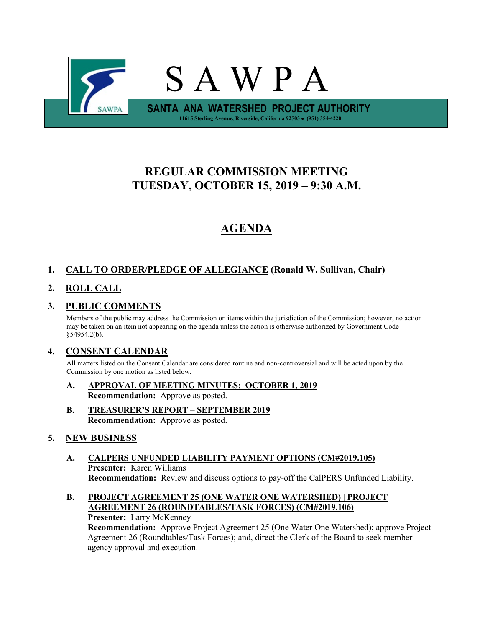

# **REGULAR COMMISSION MEETING TUESDAY, OCTOBER 15, 2019 – 9:30 A.M.**

# **AGENDA**

# **1. CALL TO ORDER/PLEDGE OF ALLEGIANCE (Ronald W. Sullivan, Chair)**

# **2. ROLL CALL**

# **3. PUBLIC COMMENTS**

Members of the public may address the Commission on items within the jurisdiction of the Commission; however, no action may be taken on an item not appearing on the agenda unless the action is otherwise authorized by Government Code §54954.2(b).

## **4. CONSENT CALENDAR**

All matters listed on the Consent Calendar are considered routine and non-controversial and will be acted upon by the Commission by one motion as listed below.

- **A. APPROVAL OF MEETING MINUTES: OCTOBER 1, 2019 Recommendation:** Approve as posted.
- **B. TREASURER'S REPORT – SEPTEMBER 2019 Recommendation:** Approve as posted.

### **5. NEW BUSINESS**

- **A. CALPERS UNFUNDED LIABILITY PAYMENT OPTIONS (CM#2019.105) Presenter:** Karen Williams **Recommendation:** Review and discuss options to pay-off the CalPERS Unfunded Liability.
- **B. PROJECT AGREEMENT 25 (ONE WATER ONE WATERSHED) | PROJECT AGREEMENT 26 (ROUNDTABLES/TASK FORCES) (CM#2019.106) Presenter:** Larry McKenney

**Recommendation:** Approve Project Agreement 25 (One Water One Watershed); approve Project Agreement 26 (Roundtables/Task Forces); and, direct the Clerk of the Board to seek member agency approval and execution.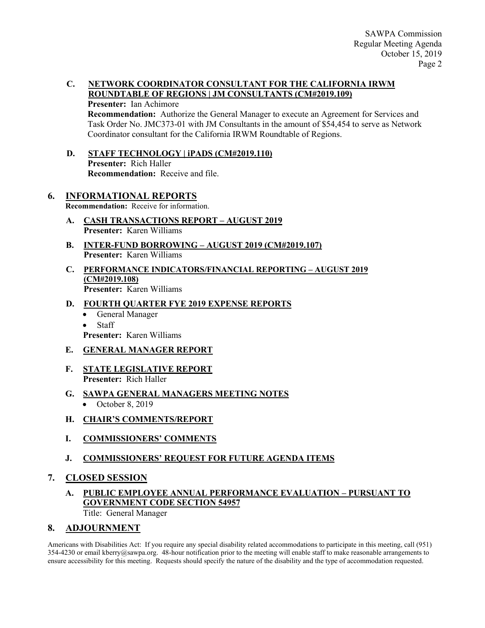#### **C. NETWORK COORDINATOR CONSULTANT FOR THE CALIFORNIA IRWM ROUNDTABLE OF REGIONS | JM CONSULTANTS (CM#2019.109)**

**Presenter:** Ian Achimore

**Recommendation:** Authorize the General Manager to execute an Agreement for Services and Task Order No. JMC373-01 with JM Consultants in the amount of \$54,454 to serve as Network Coordinator consultant for the California IRWM Roundtable of Regions.

**D. STAFF TECHNOLOGY | iPADS (CM#2019.110) Presenter:** Rich Haller **Recommendation:** Receive and file.

# **6. INFORMATIONAL REPORTS**

**Recommendation:** Receive for information.

- **A. CASH TRANSACTIONS REPORT – AUGUST 2019 Presenter:** Karen Williams
- **B. INTER-FUND BORROWING – AUGUST 2019 (CM#2019.107) Presenter:** Karen Williams
- **C. PERFORMANCE INDICATORS/FINANCIAL REPORTING – AUGUST 2019 (CM#2019.108) Presenter:** Karen Williams

### **D. FOURTH QUARTER FYE 2019 EXPENSE REPORTS**

- General Manager
- Staff

**Presenter:** Karen Williams

### **E. GENERAL MANAGER REPORT**

- **F. STATE LEGISLATIVE REPORT Presenter:** Rich Haller
- **G. SAWPA GENERAL MANAGERS MEETING NOTES**
	- October 8, 2019
- **H. CHAIR'S COMMENTS/REPORT**
- **I. COMMISSIONERS' COMMENTS**
- **J. COMMISSIONERS' REQUEST FOR FUTURE AGENDA ITEMS**

## **7. CLOSED SESSION**

**A. PUBLIC EMPLOYEE ANNUAL PERFORMANCE EVALUATION – PURSUANT TO GOVERNMENT CODE SECTION 54957**

Title: General Manager

### **8. ADJOURNMENT**

Americans with Disabilities Act: If you require any special disability related accommodations to participate in this meeting, call (951)  $354-4230$  or email kberry@sawpa.org. 48-hour notification prior to the meeting will enable staff to make reasonable arrangements to ensure accessibility for this meeting. Requests should specify the nature of the disability and the type of accommodation requested.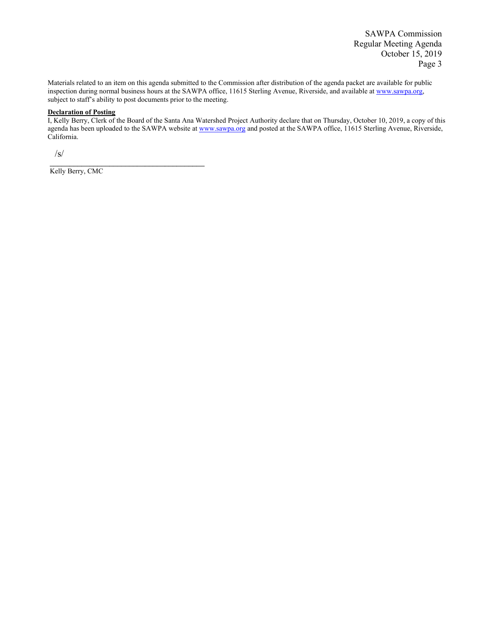SAWPA Commission Regular Meeting Agenda October 15, 2019 Page 3

Materials related to an item on this agenda submitted to the Commission after distribution of the agenda packet are available for public inspection during normal business hours at the SAWPA office, 11615 Sterling Avenue, Riverside, and available at www.sawpa.org, subject to staff's ability to post documents prior to the meeting.

#### **Declaration of Posting**

I, Kelly Berry, Clerk of the Board of the Santa Ana Watershed Project Authority declare that on Thursday, October 10, 2019, a copy of this agenda has been uploaded to the SAWPA website a[t www.sawpa.org](http://www.sawpa.org/) and posted at the SAWPA office, 11615 Sterling Avenue, Riverside, California.

 $\sqrt{s/}$ 

Kelly Berry, CMC

\_\_\_\_\_\_\_\_\_\_\_\_\_\_\_\_\_\_\_\_\_\_\_\_\_\_\_\_\_\_\_\_\_\_\_\_\_\_\_